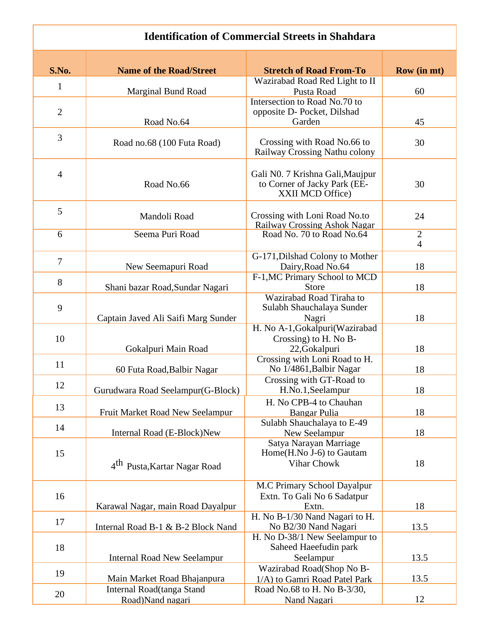## **Identification of Commercial Streets in Shahdara**

| S.No.          | <b>Name of the Road/Street</b>           | <b>Stretch of Road From-To</b>                                   | <b>Row</b> (in mt) |
|----------------|------------------------------------------|------------------------------------------------------------------|--------------------|
|                |                                          | Wazirabad Road Red Light to II                                   |                    |
| $\mathbf{1}$   | <b>Marginal Bund Road</b>                | Pusta Road                                                       | 60                 |
|                |                                          | Intersection to Road No.70 to                                    |                    |
| $\mathbf{2}$   |                                          | opposite D- Pocket, Dilshad                                      |                    |
|                | Road No.64                               | Garden                                                           | 45                 |
| 3              |                                          |                                                                  |                    |
|                | Road no.68 (100 Futa Road)               | Crossing with Road No.66 to                                      | 30                 |
|                |                                          | Railway Crossing Nathu colony                                    |                    |
|                |                                          |                                                                  |                    |
| $\overline{4}$ | Road No.66                               | Gali N0. 7 Krishna Gali, Maujpur<br>to Corner of Jacky Park (EE- | 30                 |
|                |                                          | XXII MCD Office)                                                 |                    |
|                |                                          |                                                                  |                    |
| 5              | Mandoli Road                             | Crossing with Loni Road No.to                                    | 24                 |
|                |                                          | <b>Railway Crossing Ashok Nagar</b>                              |                    |
| 6              | Seema Puri Road                          | Road No. 70 to Road No.64                                        | $\mathbf{2}$       |
|                |                                          |                                                                  | $\overline{4}$     |
| $\overline{7}$ |                                          | G-171, Dilshad Colony to Mother                                  |                    |
|                | New Seemapuri Road                       | Dairy, Road No.64                                                | 18                 |
| 8              |                                          | F-1, MC Primary School to MCD                                    |                    |
|                | Shani bazar Road, Sundar Nagari          | Store                                                            | 18                 |
|                |                                          | Wazirabad Road Tiraha to                                         |                    |
| 9              |                                          | Sulabh Shauchalaya Sunder                                        |                    |
|                | Captain Javed Ali Saifi Marg Sunder      | Nagri                                                            | 18                 |
|                |                                          | H. No A-1, Gokalpuri (Wazirabad                                  |                    |
| 10             |                                          | Crossing) to H. No B-                                            |                    |
|                | Gokalpuri Main Road                      | 22, Gokalpuri<br>Crossing with Loni Road to H.                   | 18                 |
| 11             | 60 Futa Road, Balbir Nagar               | No 1/4861, Balbir Nagar                                          | 18                 |
|                |                                          | Crossing with GT-Road to                                         |                    |
| 12             | Gurudwara Road Seelampur(G-Block)        | H.No.1, Seelampur                                                | 18                 |
|                |                                          | H. No CPB-4 to Chauhan                                           |                    |
| 13             | Fruit Market Road New Seelampur          | Bangar Pulia                                                     | 18                 |
|                |                                          | Sulabh Shauchalaya to E-49                                       |                    |
| 14             | Internal Road (E-Block)New               | New Seelampur                                                    | 18                 |
|                |                                          | Satya Narayan Marriage                                           |                    |
| 15             |                                          | Home(H.No J-6) to Gautam                                         |                    |
|                | 4 <sup>th</sup> Pusta, Kartar Nagar Road | Vihar Chowk                                                      | 18                 |
|                |                                          |                                                                  |                    |
|                |                                          | M.C Primary School Dayalpur                                      |                    |
| 16             |                                          | Extn. To Gali No 6 Sadatpur                                      |                    |
|                | Karawal Nagar, main Road Dayalpur        | Extn.                                                            | 18                 |
| 17             |                                          | H. No B-1/30 Nand Nagari to H.                                   |                    |
|                | Internal Road B-1 & B-2 Block Nand       | No B2/30 Nand Nagari                                             | 13.5               |
|                |                                          | H. No D-38/1 New Seelampur to                                    |                    |
| 18             |                                          | Saheed Haeefudin park                                            | 13.5               |
|                | <b>Internal Road New Seelampur</b>       | Seelampur                                                        |                    |
| 19             | Main Market Road Bhajanpura              | Wazirabad Road(Shop No B-<br>1/A) to Gamri Road Patel Park       | 13.5               |
|                | Internal Road(tanga Stand                | Road No.68 to H. No B-3/30,                                      |                    |
| 20             | Road)Nand nagari                         | Nand Nagari                                                      | 12                 |
|                |                                          |                                                                  |                    |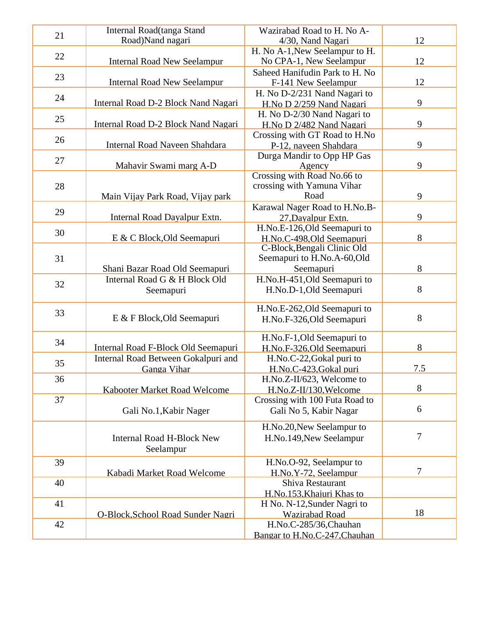| 21 | Internal Road(tanga Stand           | Wazirabad Road to H. No A-     |        |
|----|-------------------------------------|--------------------------------|--------|
|    | Road)Nand nagari                    | 4/30, Nand Nagari              | 12     |
| 22 |                                     | H. No A-1, New Seelampur to H. |        |
|    | <b>Internal Road New Seelampur</b>  | No CPA-1, New Seelampur        | 12     |
|    |                                     | Saheed Hanifudin Park to H. No |        |
| 23 | <b>Internal Road New Seelampur</b>  | F-141 New Seelampur            | 12     |
| 24 |                                     | H. No D-2/231 Nand Nagari to   |        |
|    | Internal Road D-2 Block Nand Nagari | H.No D 2/259 Nand Nagari       | 9      |
| 25 |                                     | H. No D-2/30 Nand Nagari to    |        |
|    | Internal Road D-2 Block Nand Nagari | H.No D 2/482 Nand Nagari       | 9      |
| 26 |                                     | Crossing with GT Road to H.No  |        |
|    | Internal Road Naveen Shahdara       | P-12, naveen Shahdara          | 9      |
| 27 |                                     | Durga Mandir to Opp HP Gas     |        |
|    | Mahavir Swami marg A-D              | Agency                         | 9      |
|    |                                     | Crossing with Road No.66 to    |        |
| 28 |                                     | crossing with Yamuna Vihar     |        |
|    | Main Vijay Park Road, Vijay park    | Road                           | 9      |
| 29 |                                     | Karawal Nager Road to H.No.B-  |        |
|    | Internal Road Dayalpur Extn.        | 27, Dayalpur Extn.             | 9      |
| 30 |                                     | H.No.E-126, Old Seemapuri to   |        |
|    | E & C Block, Old Seemapuri          | H.No.C-498,Old Seemapuri       | 8      |
|    |                                     | C-Block, Bengali Clinic Old    |        |
| 31 |                                     | Seemapuri to H.No.A-60,Old     |        |
|    | Shani Bazar Road Old Seemapuri      | Seemapuri                      | 8      |
| 32 | Internal Road G & H Block Old       | H.No.H-451, Old Seemapuri to   |        |
|    | Seemapuri                           | H.No.D-1, Old Seemapuri        | 8      |
|    |                                     | H.No.E-262, Old Seemapuri to   |        |
| 33 | E & F Block, Old Seemapuri          | H.No.F-326, Old Seemapuri      | 8      |
|    |                                     |                                |        |
|    |                                     | H.No.F-1, Old Seemapuri to     |        |
| 34 | Internal Road F-Block Old Seemapuri | H.No.F-326, Old Seemapuri      | 8      |
|    | Internal Road Between Gokalpuri and | H.No.C-22, Gokal puri to       |        |
| 35 | <b>Ganga Vihar</b>                  | H.No.C-423.Gokal puri          | 7.5    |
| 36 |                                     | H.No.Z-II/623, Welcome to      |        |
|    | <b>Kabooter Market Road Welcome</b> | H.No.Z-II/130.Welcome          | 8      |
| 37 |                                     | Crossing with 100 Futa Road to |        |
|    | Gali No.1, Kabir Nager              | Gali No 5, Kabir Nagar         | 6      |
|    |                                     |                                |        |
|    |                                     | H.No.20, New Seelampur to      | 7      |
|    | <b>Internal Road H-Block New</b>    | H.No.149, New Seelampur        |        |
|    | Seelampur                           |                                |        |
| 39 |                                     | H.No.O-92, Seelampur to        |        |
|    | Kabadi Market Road Welcome          | H.No.Y-72, Seelampur           | $\tau$ |
| 40 |                                     | Shiva Restaurant               |        |
|    |                                     | H.No.153, Khajuri Khas to      |        |
| 41 |                                     | H No. N-12, Sunder Nagri to    |        |
|    | O-Block, School Road Sunder Nagri   | <b>Wazirabad Road</b>          | 18     |
| 42 |                                     | H.No.C-285/36, Chauhan         |        |
|    |                                     | Bangar to H.No.C-247, Chauhan  |        |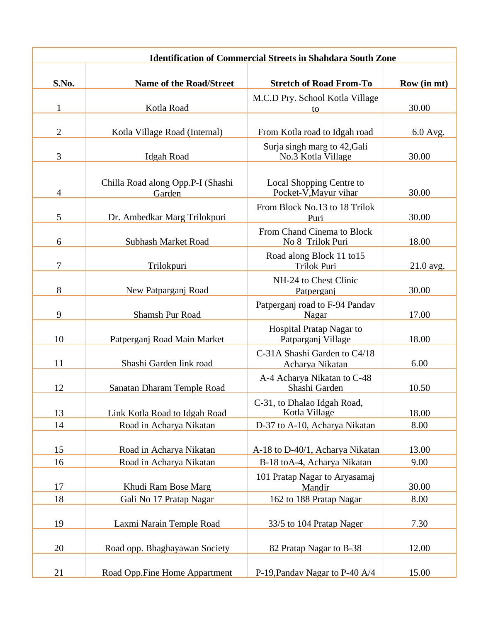| <b>Identification of Commercial Streets in Shahdara South Zone</b> |                                             |                                                    |             |
|--------------------------------------------------------------------|---------------------------------------------|----------------------------------------------------|-------------|
| S.No.                                                              | <b>Name of the Road/Street</b>              | <b>Stretch of Road From-To</b>                     | Row (in mt) |
|                                                                    |                                             |                                                    |             |
| $\mathbf{1}$                                                       | Kotla Road                                  | M.C.D Pry. School Kotla Village<br>to              | 30.00       |
|                                                                    |                                             |                                                    |             |
| $\overline{2}$                                                     | Kotla Village Road (Internal)               | From Kotla road to Idgah road                      | 6.0 Avg.    |
| 3                                                                  | <b>Idgah Road</b>                           | Surja singh marg to 42, Gali<br>No.3 Kotla Village | 30.00       |
| $\overline{4}$                                                     | Chilla Road along Opp.P-I (Shashi<br>Garden | Local Shopping Centre to<br>Pocket-V, Mayur vihar  | 30.00       |
| 5                                                                  | Dr. Ambedkar Marg Trilokpuri                | From Block No.13 to 18 Trilok<br>Puri              | 30.00       |
| 6                                                                  | <b>Subhash Market Road</b>                  | From Chand Cinema to Block<br>No 8 Trilok Puri     | 18.00       |
| 7                                                                  | Trilokpuri                                  | Road along Block 11 to 15<br>Trilok Puri           | $21.0$ avg. |
| 8                                                                  | New Patparganj Road                         | NH-24 to Chest Clinic<br>Patperganj                | 30.00       |
| 9                                                                  | <b>Shamsh Pur Road</b>                      | Patperganj road to F-94 Pandav<br>Nagar            | 17.00       |
| 10                                                                 | Patperganj Road Main Market                 | Hospital Pratap Nagar to<br>Patparganj Village     | 18.00       |
| 11                                                                 | Shashi Garden link road                     | C-31A Shashi Garden to C4/18<br>Acharya Nikatan    | 6.00        |
| 12                                                                 | Sanatan Dharam Temple Road                  | A-4 Acharya Nikatan to C-48<br>Shashi Garden       | 10.50       |
| 13                                                                 | Link Kotla Road to Idgah Road               | C-31, to Dhalao Idgah Road,<br>Kotla Village       | 18.00       |
| 14                                                                 | Road in Acharya Nikatan                     | D-37 to A-10, Acharya Nikatan                      | 8.00        |
| 15                                                                 | Road in Acharya Nikatan                     | A-18 to D-40/1, Acharya Nikatan                    | 13.00       |
| 16                                                                 | Road in Acharya Nikatan                     | B-18 toA-4, Acharya Nikatan                        | 9.00        |
| 17                                                                 | Khudi Ram Bose Marg                         | 101 Pratap Nagar to Aryasamaj<br>Mandir            | 30.00       |
| 18                                                                 | Gali No 17 Pratap Nagar                     | 162 to 188 Pratap Nagar                            | 8.00        |
| 19                                                                 | Laxmi Narain Temple Road                    | 33/5 to 104 Pratap Nager                           | 7.30        |
| 20                                                                 | Road opp. Bhaghayawan Society               | 82 Pratap Nagar to B-38                            | 12.00       |
| 21                                                                 | Road Opp.Fine Home Appartment               | P-19, Pandav Nagar to P-40 A/4                     | 15.00       |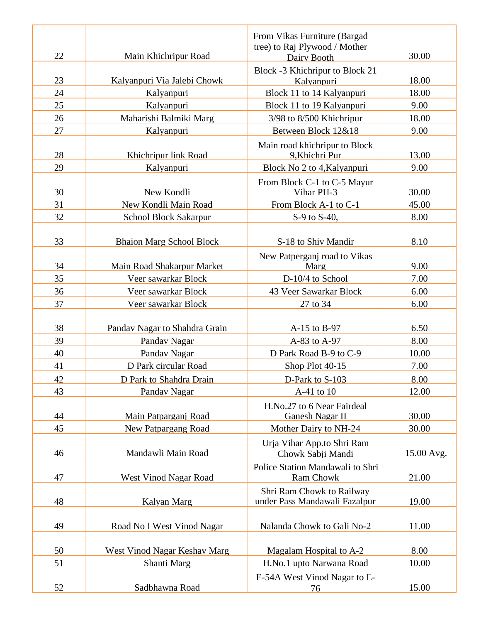| 22 | Main Khichripur Road            | From Vikas Furniture (Bargad<br>tree) to Raj Plywood / Mother | 30.00      |
|----|---------------------------------|---------------------------------------------------------------|------------|
|    |                                 | Dairy Booth                                                   |            |
| 23 | Kalyanpuri Via Jalebi Chowk     | Block -3 Khichripur to Block 21<br>Kalvanpuri                 | 18.00      |
| 24 | Kalyanpuri                      | Block 11 to 14 Kalyanpuri                                     | 18.00      |
| 25 | Kalyanpuri                      | Block 11 to 19 Kalyanpuri                                     | 9.00       |
| 26 | Maharishi Balmiki Marg          | 3/98 to 8/500 Khichripur                                      | 18.00      |
| 27 | Kalyanpuri                      | Between Block 12&18                                           | 9.00       |
| 28 | Khichripur link Road            | Main road khichripur to Block<br>9, Khichri Pur               | 13.00      |
| 29 | Kalyanpuri                      | Block No 2 to 4, Kalyanpuri                                   | 9.00       |
| 30 | New Kondli                      | From Block C-1 to C-5 Mayur<br>Vihar PH-3                     | 30.00      |
| 31 | New Kondli Main Road            | From Block A-1 to C-1                                         | 45.00      |
| 32 | School Block Sakarpur           | S-9 to S-40,                                                  | 8.00       |
| 33 | <b>Bhaion Marg School Block</b> | S-18 to Shiv Mandir                                           | 8.10       |
|    |                                 | New Patperganj road to Vikas                                  |            |
| 34 | Main Road Shakarpur Market      | Marg                                                          | 9.00       |
| 35 | Veer sawarkar Block             | D-10/4 to School                                              | 7.00       |
| 36 | Veer sawarkar Block             | 43 Veer Sawarkar Block                                        | 6.00       |
| 37 | Veer sawarkar Block             | 27 to 34                                                      | 6.00       |
|    |                                 |                                                               |            |
| 38 | Pandav Nagar to Shahdra Grain   | A-15 to B-97                                                  | 6.50       |
| 39 | Pandav Nagar                    | A-83 to A-97                                                  | 8.00       |
| 40 | Pandav Nagar                    | D Park Road B-9 to C-9                                        | 10.00      |
| 41 | D Park circular Road            | Shop Plot 40-15                                               | 7.00       |
| 42 | D Park to Shahdra Drain         | D-Park to S-103                                               | 8.00       |
| 43 | Pandav Nagar                    | A-41 to 10                                                    | 12.00      |
| 44 | Main Patparganj Road            | H.No.27 to 6 Near Fairdeal<br>Ganesh Nagar II                 | 30.00      |
| 45 | <b>New Patpargang Road</b>      | Mother Dairy to NH-24                                         | 30.00      |
| 46 | Mandawli Main Road              | Urja Vihar App.to Shri Ram<br>Chowk Sabji Mandi               | 15.00 Avg. |
| 47 | West Vinod Nagar Road           | Police Station Mandawali to Shri<br>Ram Chowk                 | 21.00      |
| 48 | Kalyan Marg                     | Shri Ram Chowk to Railway<br>under Pass Mandawali Fazalpur    | 19.00      |
| 49 | Road No I West Vinod Nagar      | Nalanda Chowk to Gali No-2                                    | 11.00      |
| 50 | West Vinod Nagar Keshav Marg    | Magalam Hospital to A-2                                       | 8.00       |
| 51 | Shanti Marg                     | H.No.1 upto Narwana Road                                      | 10.00      |
|    |                                 | E-54A West Vinod Nagar to E-                                  |            |
| 52 | Sadbhawna Road                  | 76                                                            | 15.00      |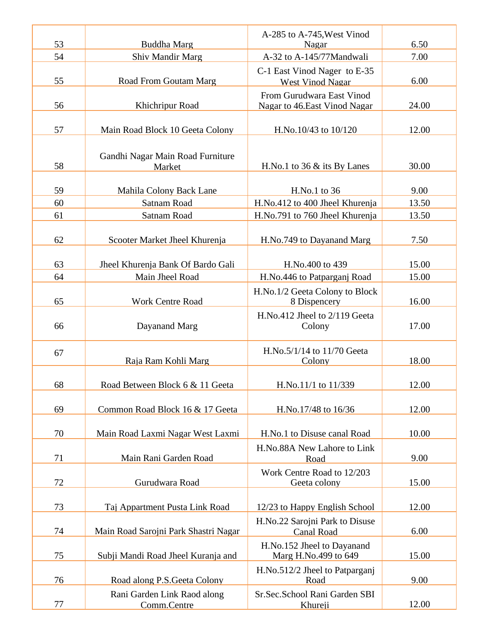| 53 | <b>Buddha Marg</b>                   | A-285 to A-745, West Vinod                     | 6.50  |
|----|--------------------------------------|------------------------------------------------|-------|
| 54 | Shiv Mandir Marg                     | Nagar<br>A-32 to A-145/77Mandwali              | 7.00  |
|    |                                      | C-1 East Vinod Nager to E-35                   |       |
| 55 | Road From Goutam Marg                | <b>West Vinod Nagar</b>                        | 6.00  |
|    |                                      | From Gurudwara East Vinod                      |       |
| 56 | Khichripur Road                      | Nagar to 46. East Vinod Nagar                  | 24.00 |
|    |                                      |                                                |       |
| 57 | Main Road Block 10 Geeta Colony      | H.No.10/43 to 10/120                           | 12.00 |
|    | Gandhi Nagar Main Road Furniture     |                                                |       |
| 58 | Market                               | H.No.1 to $36 \&$ its By Lanes                 | 30.00 |
|    |                                      |                                                |       |
| 59 | Mahila Colony Back Lane              | H.No.1 to 36                                   | 9.00  |
| 60 | Satnam Road                          | H.No.412 to 400 Jheel Khurenja                 | 13.50 |
| 61 | <b>Satnam Road</b>                   | H.No.791 to 760 Jheel Khurenja                 | 13.50 |
|    |                                      |                                                |       |
| 62 | Scooter Market Jheel Khurenja        | H.No.749 to Dayanand Marg                      | 7.50  |
| 63 | Jheel Khurenja Bank Of Bardo Gali    | H.No.400 to 439                                | 15.00 |
| 64 | Main Jheel Road                      | H.No.446 to Patparganj Road                    | 15.00 |
|    |                                      |                                                |       |
| 65 | <b>Work Centre Road</b>              | H.No.1/2 Geeta Colony to Block<br>8 Dispencery | 16.00 |
|    |                                      | H.No.412 Jheel to 2/119 Geeta                  |       |
| 66 | Dayanand Marg                        | Colony                                         | 17.00 |
|    |                                      |                                                |       |
| 67 |                                      | H.No.5/1/14 to 11/70 Geeta                     |       |
|    | Raja Ram Kohli Marg                  | Colony                                         | 18.00 |
| 68 | Road Between Block 6 & 11 Geeta      | H.No.11/1 to 11/339                            | 12.00 |
|    |                                      |                                                |       |
| 69 | Common Road Block 16 & 17 Geeta      | H.No.17/48 to 16/36                            | 12.00 |
|    |                                      |                                                |       |
| 70 | Main Road Laxmi Nagar West Laxmi     | H.No.1 to Disuse canal Road                    | 10.00 |
|    |                                      | H.No.88A New Lahore to Link                    |       |
| 71 | Main Rani Garden Road                | Road                                           | 9.00  |
|    |                                      | Work Centre Road to 12/203                     |       |
| 72 | Gurudwara Road                       | Geeta colony                                   | 15.00 |
| 73 | Taj Appartment Pusta Link Road       | 12/23 to Happy English School                  | 12.00 |
|    |                                      | H.No.22 Sarojni Park to Disuse                 |       |
| 74 | Main Road Sarojni Park Shastri Nagar | <b>Canal Road</b>                              | 6.00  |
|    |                                      | H.No.152 Jheel to Dayanand                     |       |
| 75 | Subji Mandi Road Jheel Kuranja and   | Marg H.No.499 to 649                           | 15.00 |
|    |                                      | H.No.512/2 Jheel to Patparganj                 |       |
| 76 | Road along P.S. Geeta Colony         | Road                                           | 9.00  |
|    | Rani Garden Link Raod along          | Sr.Sec.School Rani Garden SBI                  |       |
| 77 | Comm.Centre                          | Khureji                                        | 12.00 |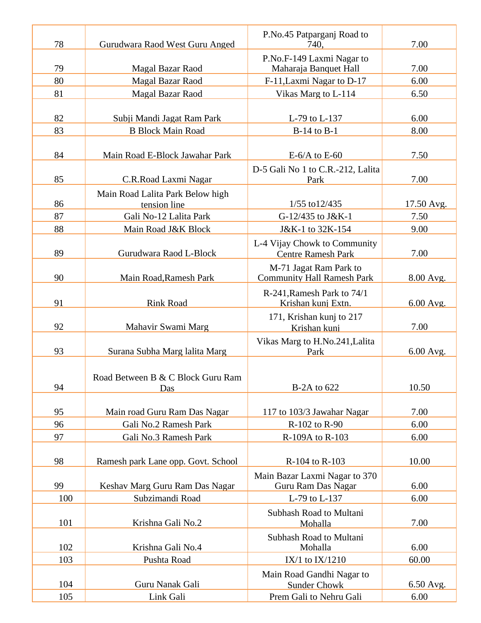| 78  | Gurudwara Raod West Guru Anged                   | P.No.45 Patparganj Road to<br>740.                          | 7.00        |
|-----|--------------------------------------------------|-------------------------------------------------------------|-------------|
| 79  | <b>Magal Bazar Raod</b>                          | P.No.F-149 Laxmi Nagar to<br>Maharaja Banquet Hall          | 7.00        |
| 80  | <b>Magal Bazar Raod</b>                          | F-11, Laxmi Nagar to D-17                                   | 6.00        |
|     |                                                  |                                                             |             |
| 81  | Magal Bazar Raod                                 | Vikas Marg to L-114                                         | 6.50        |
| 82  | Subji Mandi Jagat Ram Park                       | L-79 to L-137                                               | 6.00        |
| 83  | <b>B Block Main Road</b>                         | $B-14$ to $B-1$                                             | 8.00        |
| 84  | Main Road E-Block Jawahar Park                   | $E-6/A$ to $E-60$                                           | 7.50        |
| 85  | C.R.Road Laxmi Nagar                             | D-5 Gali No 1 to C.R.-212, Lalita<br>Park                   | 7.00        |
| 86  | Main Road Lalita Park Below high<br>tension line | 1/55 to 12/435                                              | 17.50 Avg.  |
| 87  | Gali No-12 Lalita Park                           | G-12/435 to J&K-1                                           | 7.50        |
| 88  | Main Road J&K Block                              | J&K-1 to 32K-154                                            | 9.00        |
| 89  | Gurudwara Raod L-Block                           | L-4 Vijay Chowk to Community<br><b>Centre Ramesh Park</b>   | 7.00        |
| 90  | Main Road, Ramesh Park                           | M-71 Jagat Ram Park to<br><b>Community Hall Ramesh Park</b> | 8.00 Avg.   |
| 91  | <b>Rink Road</b>                                 | R-241, Ramesh Park to 74/1<br>Krishan kunj Extn.            | $6.00$ Avg. |
| 92  | Mahavir Swami Marg                               | 171, Krishan kunj to 217<br>Krishan kunj                    | 7.00        |
| 93  | Surana Subha Marg lalita Marg                    | Vikas Marg to H.No.241, Lalita<br>Park                      | $6.00$ Avg. |
| 94  | Road Between B & C Block Guru Ram<br>Das         | B-2A to 622                                                 | 10.50       |
| 95  | Main road Guru Ram Das Nagar                     | 117 to 103/3 Jawahar Nagar                                  | 7.00        |
| 96  | Gali No.2 Ramesh Park                            | R-102 to R-90                                               | 6.00        |
| 97  | Gali No.3 Ramesh Park                            | R-109A to R-103                                             | 6.00        |
| 98  | Ramesh park Lane opp. Govt. School               | R-104 to R-103                                              | 10.00       |
|     |                                                  | Main Bazar Laxmi Nagar to 370                               |             |
| 99  | Keshav Marg Guru Ram Das Nagar                   | Guru Ram Das Nagar                                          | 6.00        |
| 100 | Subzimandi Road                                  | L-79 to L-137                                               | 6.00        |
| 101 | Krishna Gali No.2                                | Subhash Road to Multani<br>Mohalla                          | 7.00        |
|     |                                                  | Subhash Road to Multani                                     |             |
| 102 | Krishna Gali No.4                                | Mohalla                                                     | 6.00        |
| 103 | Pushta Road                                      | IX/1 to $IX/1210$                                           | 60.00       |
|     |                                                  | Main Road Gandhi Nagar to                                   |             |
| 104 | Guru Nanak Gali                                  | <b>Sunder Chowk</b>                                         | 6.50 Avg.   |
| 105 | Link Gali                                        | Prem Gali to Nehru Gali                                     | 6.00        |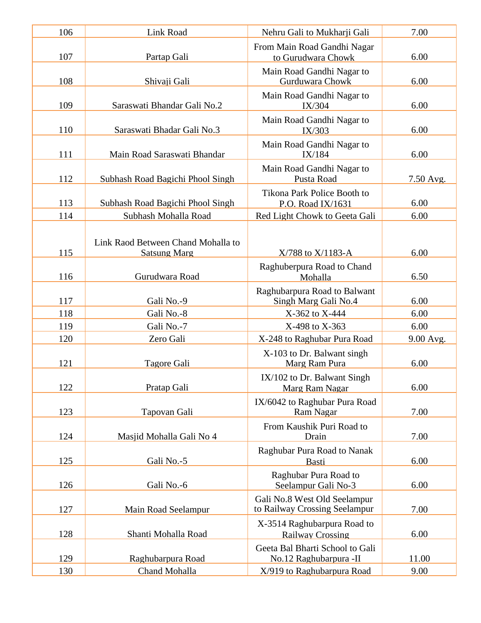| 106 | Link Road                                                 | Nehru Gali to Mukharji Gali                                   | 7.00      |
|-----|-----------------------------------------------------------|---------------------------------------------------------------|-----------|
| 107 | Partap Gali                                               | From Main Road Gandhi Nagar<br>to Gurudwara Chowk             | 6.00      |
| 108 | Shivaji Gali                                              | Main Road Gandhi Nagar to<br>Gurduwara Chowk                  | 6.00      |
| 109 | Saraswati Bhandar Gali No.2                               | Main Road Gandhi Nagar to<br>IX/304                           | 6.00      |
| 110 | Saraswati Bhadar Gali No.3                                | Main Road Gandhi Nagar to<br>IX/303                           | 6.00      |
| 111 | Main Road Saraswati Bhandar                               | Main Road Gandhi Nagar to<br>IX/184                           | 6.00      |
| 112 | Subhash Road Bagichi Phool Singh                          | Main Road Gandhi Nagar to<br>Pusta Road                       | 7.50 Avg. |
| 113 | Subhash Road Bagichi Phool Singh                          | Tikona Park Police Booth to<br>P.O. Road IX/1631              | 6.00      |
| 114 | Subhash Mohalla Road                                      | Red Light Chowk to Geeta Gali                                 | 6.00      |
| 115 | Link Raod Between Chand Mohalla to<br><b>Satsung Marg</b> | X/788 to X/1183-A                                             | 6.00      |
| 116 | Gurudwara Road                                            | Raghuberpura Road to Chand<br>Mohalla                         | 6.50      |
| 117 | Gali No.-9                                                | Raghubarpura Road to Balwant<br>Singh Marg Gali No.4          | 6.00      |
| 118 | Gali No.-8                                                | X-362 to X-444                                                | 6.00      |
| 119 | Gali No.-7                                                | X-498 to X-363                                                | 6.00      |
| 120 | Zero Gali                                                 | X-248 to Raghubar Pura Road                                   | 9.00 Avg. |
| 121 | Tagore Gali                                               | X-103 to Dr. Balwant singh<br>Marg Ram Pura                   | 6.00      |
| 122 | Pratap Gali                                               | IX/102 to Dr. Balwant Singh<br>Marg Ram Nagar                 | 6.00      |
| 123 | Tapovan Gali                                              | IX/6042 to Raghubar Pura Road<br>Ram Nagar                    | 7.00      |
| 124 | Masjid Mohalla Gali No 4                                  | From Kaushik Puri Road to<br>Drain                            | 7.00      |
| 125 | Gali No.-5                                                | Raghubar Pura Road to Nanak<br>Basti                          | 6.00      |
| 126 | Gali No.-6                                                | Raghubar Pura Road to<br>Seelampur Gali No-3                  | 6.00      |
| 127 | Main Road Seelampur                                       | Gali No.8 West Old Seelampur<br>to Railway Crossing Seelampur | 7.00      |
| 128 | Shanti Mohalla Road                                       | X-3514 Raghubarpura Road to<br><b>Railway Crossing</b>        | 6.00      |
| 129 | Raghubarpura Road                                         | Geeta Bal Bharti School to Gali<br>No.12 Raghubarpura -II     | 11.00     |
| 130 | Chand Mohalla                                             | X/919 to Raghubarpura Road                                    | 9.00      |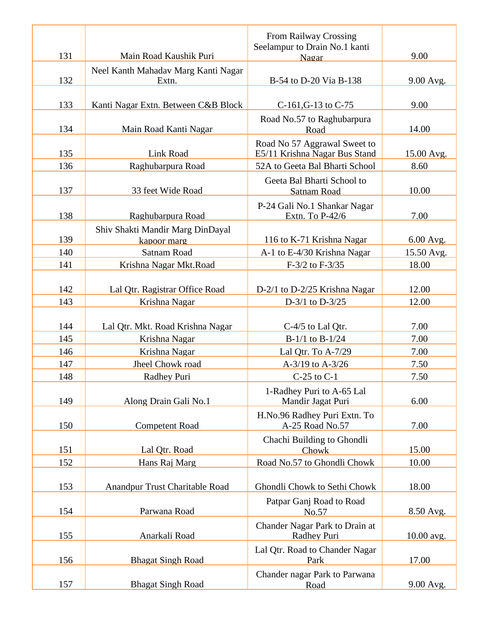|     |                                     | From Railway Crossing<br>Seelampur to Drain No.1 kanti        |                           |
|-----|-------------------------------------|---------------------------------------------------------------|---------------------------|
| 131 | Main Road Kaushik Puri              | Nagar                                                         | 9.00                      |
|     | Neel Kanth Mahadav Marg Kanti Nagar |                                                               |                           |
| 132 | Extn.                               | B-54 to D-20 Via B-138                                        | 9.00 Avg.                 |
| 133 | Kanti Nagar Extn. Between C&B Block | C-161, G-13 to C-75                                           | 9.00                      |
| 134 | Main Road Kanti Nagar               | Road No.57 to Raghubarpura<br>Road                            | 14.00                     |
| 135 | Link Road                           | Road No 57 Aggrawal Sweet to<br>E5/11 Krishna Nagar Bus Stand | 15.00 Avg.                |
| 136 | Raghubarpura Road                   | 52A to Geeta Bal Bharti School                                | 8.60                      |
| 137 | 33 feet Wide Road                   | Geeta Bal Bharti School to<br><b>Satnam Road</b>              | 10.00                     |
| 138 | Raghubarpura Road                   | P-24 Gali No.1 Shankar Nagar<br>Extn. To P-42/6               | 7.00                      |
| 139 | Shiv Shakti Mandir Marg DinDayal    | 116 to K-71 Krishna Nagar                                     |                           |
| 140 | kapoor marg<br>Satnam Road          | A-1 to E-4/30 Krishna Nagar                                   | $6.00$ Avg.<br>15.50 Avg. |
| 141 | Krishna Nagar Mkt.Road              | F-3/2 to F-3/35                                               | 18.00                     |
|     |                                     |                                                               |                           |
| 142 | Lal Qtr. Ragistrar Office Road      | D-2/1 to D-2/25 Krishna Nagar                                 | 12.00                     |
| 143 | Krishna Nagar                       | D- $3/1$ to D- $3/25$                                         | 12.00                     |
|     |                                     |                                                               |                           |
| 144 | Lal Qtr. Mkt. Road Krishna Nagar    | C-4/5 to Lal Qtr.                                             | 7.00                      |
| 145 | Krishna Nagar                       | $B-1/1$ to $B-1/24$                                           | 7.00                      |
| 146 | Krishna Nagar                       | Lal Qtr. To A-7/29                                            | 7.00                      |
| 147 | Jheel Chowk road                    | A-3/19 to A-3/26                                              | 7.50                      |
| 148 | Radhey Puri                         | $C-25$ to $C-1$                                               | 7.50                      |
| 149 | Along Drain Gali No.1               | 1-Radhey Puri to A-65 Lal<br>Mandir Jagat Puri                | 6.00                      |
| 150 | <b>Competent Road</b>               | H.No.96 Radhey Puri Extn. To<br>A-25 Road No.57               | 7.00                      |
| 151 | Lal Qtr. Road                       | Chachi Building to Ghondli<br>Chowk                           | 15.00                     |
| 152 | Hans Raj Marg                       | Road No.57 to Ghondli Chowk                                   | 10.00                     |
|     |                                     |                                                               |                           |
| 153 | Anandpur Trust Charitable Road      | Ghondli Chowk to Sethi Chowk                                  | 18.00                     |
| 154 | Parwana Road                        | Patpar Ganj Road to Road<br>No.57                             | 8.50 Avg.                 |
|     |                                     | Chander Nagar Park to Drain at                                |                           |
| 155 | Anarkali Road                       | Radhey Puri                                                   | 10.00 avg.                |
|     |                                     | Lal Qtr. Road to Chander Nagar                                |                           |
| 156 | <b>Bhagat Singh Road</b>            | Park                                                          | 17.00                     |
|     |                                     | Chander nagar Park to Parwana                                 |                           |
| 157 | <b>Bhagat Singh Road</b>            | Road                                                          | 9.00 Avg.                 |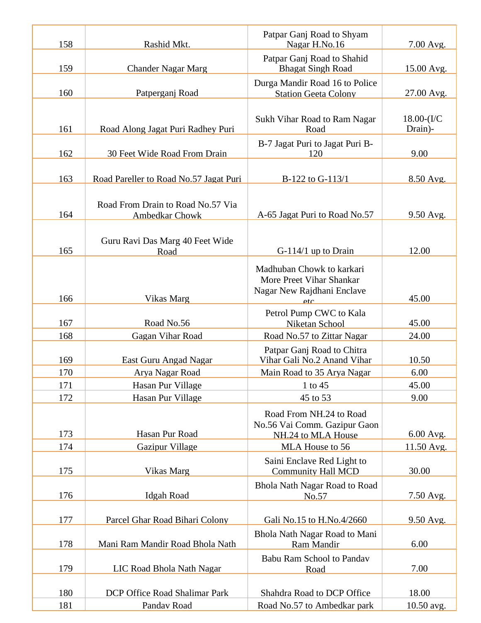| 158 | Rashid Mkt.                                         | Patpar Ganj Road to Shyam<br>Nagar H.No.16                                          | 7.00 Avg.                  |
|-----|-----------------------------------------------------|-------------------------------------------------------------------------------------|----------------------------|
| 159 | <b>Chander Nagar Marg</b>                           | Patpar Ganj Road to Shahid<br><b>Bhagat Singh Road</b>                              | 15.00 Avg.                 |
| 160 | Patperganj Road                                     | Durga Mandir Road 16 to Police<br><b>Station Geeta Colony</b>                       | 27.00 Avg.                 |
| 161 | Road Along Jagat Puri Radhey Puri                   | Sukh Vihar Road to Ram Nagar<br>Road                                                | $18.00 - (I/C)$<br>Drain)- |
| 162 | 30 Feet Wide Road From Drain                        | B-7 Jagat Puri to Jagat Puri B-<br>120                                              | 9.00                       |
| 163 | Road Pareller to Road No.57 Jagat Puri              | B-122 to G-113/1                                                                    | 8.50 Avg.                  |
| 164 | Road From Drain to Road No.57 Via<br>Ambedkar Chowk | A-65 Jagat Puri to Road No.57                                                       | 9.50 Avg.                  |
| 165 | Guru Ravi Das Marg 40 Feet Wide<br>Road             | $G-114/1$ up to Drain                                                               | 12.00                      |
|     |                                                     | Madhuban Chowk to karkari<br>More Preet Vihar Shankar<br>Nagar New Rajdhani Enclave |                            |
| 166 | Vikas Marg                                          | etc.                                                                                | 45.00                      |
| 167 | Road No.56                                          | Petrol Pump CWC to Kala                                                             | 45.00                      |
| 168 | Gagan Vihar Road                                    | Niketan School<br>Road No.57 to Zittar Nagar                                        | 24.00                      |
|     |                                                     | Patpar Ganj Road to Chitra                                                          |                            |
| 169 | East Guru Angad Nagar                               | Vihar Gali No.2 Anand Vihar                                                         | 10.50                      |
| 170 | Arya Nagar Road                                     | Main Road to 35 Arya Nagar                                                          | 6.00                       |
| 171 | Hasan Pur Village                                   | 1 to 45                                                                             | 45.00                      |
| 172 | Hasan Pur Village                                   | 45 to 53                                                                            | 9.00                       |
| 173 | Hasan Pur Road                                      | Road From NH.24 to Road<br>No.56 Vai Comm. Gazipur Gaon                             |                            |
| 174 | Gazipur Village                                     | NH.24 to MLA House<br>MLA House to 56                                               | 6.00 Avg.<br>11.50 Avg.    |
|     |                                                     |                                                                                     |                            |
| 175 | Vikas Marg                                          | Saini Enclave Red Light to<br><b>Community Hall MCD</b>                             | 30.00                      |
| 176 | Idgah Road                                          | Bhola Nath Nagar Road to Road<br>No.57                                              | 7.50 Avg.                  |
| 177 | Parcel Ghar Road Bihari Colony                      | Gali No.15 to H.No.4/2660                                                           | 9.50 Avg.                  |
| 178 | Mani Ram Mandir Road Bhola Nath                     | Bhola Nath Nagar Road to Mani<br>Ram Mandir                                         | 6.00                       |
|     |                                                     | <b>Babu Ram School to Pandav</b>                                                    |                            |
| 179 | LIC Road Bhola Nath Nagar                           | Road                                                                                | 7.00                       |
| 180 | DCP Office Road Shalimar Park                       | Shahdra Road to DCP Office                                                          | 18.00                      |
| 181 | Pandav Road                                         | Road No.57 to Ambedkar park                                                         | 10.50 avg.                 |